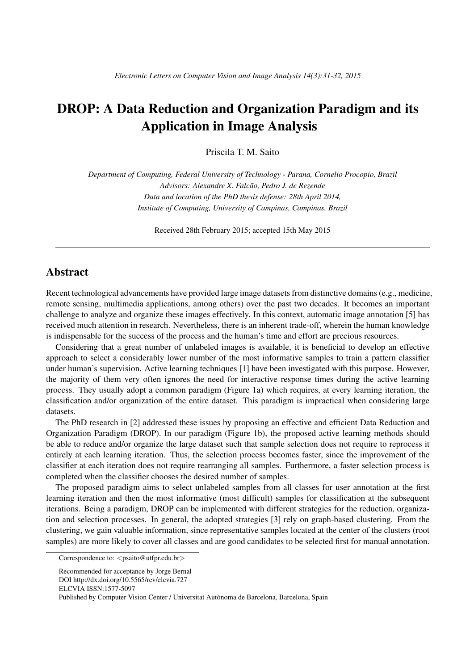## DROP: A Data Reduction and Organization Paradigm and its Application in Image Analysis

Priscila T. M. Saito

*Department of Computing, Federal University of Technology - Parana, Cornelio Procopio, Brazil Advisors: Alexandre X. Falcao, Pedro J. de Rezende ˜ Data and location of the PhD thesis defense: 28th April 2014, Institute of Computing, University of Campinas, Campinas, Brazil*

Received 28th February 2015; accepted 15th May 2015

## Abstract

Recent technological advancements have provided large image datasets from distinctive domains (e.g., medicine, remote sensing, multimedia applications, among others) over the past two decades. It becomes an important challenge to analyze and organize these images effectively. In this context, automatic image annotation [5] has received much attention in research. Nevertheless, there is an inherent trade-off, wherein the human knowledge is indispensable for the success of the process and the human's time and effort are precious resources.

Considering that a great number of unlabeled images is available, it is beneficial to develop an effective approach to select a considerably lower number of the most informative samples to train a pattern classifier under human's supervision. Active learning techniques [1] have been investigated with this purpose. However, the majority of them very often ignores the need for interactive response times during the active learning process. They usually adopt a common paradigm (Figure 1a) which requires, at every learning iteration, the classification and/or organization of the entire dataset. This paradigm is impractical when considering large datasets.

The PhD research in [2] addressed these issues by proposing an effective and efficient Data Reduction and Organization Paradigm (DROP). In our paradigm (Figure 1b), the proposed active learning methods should be able to reduce and/or organize the large dataset such that sample selection does not require to reprocess it entirely at each learning iteration. Thus, the selection process becomes faster, since the improvement of the classifier at each iteration does not require rearranging all samples. Furthermore, a faster selection process is completed when the classifier chooses the desired number of samples.

The proposed paradigm aims to select unlabeled samples from all classes for user annotation at the first learning iteration and then the most informative (most difficult) samples for classification at the subsequent iterations. Being a paradigm, DROP can be implemented with different strategies for the reduction, organization and selection processes. In general, the adopted strategies [3] rely on graph-based clustering. From the clustering, we gain valuable information, since representative samples located at the center of the clusters (root samples) are more likely to cover all classes and are good candidates to be selected first for manual annotation.

Correspondence to: *<*psaito@utfpr.edu.br*>*

Recommended for acceptance by Jorge Bernal DOI http://dx.doi.org/10.5565/rev/elcvia.727 ELCVIA ISSN:1577-5097 Published by Computer Vision Center / Universitat Autònoma de Barcelona, Barcelona, Spain